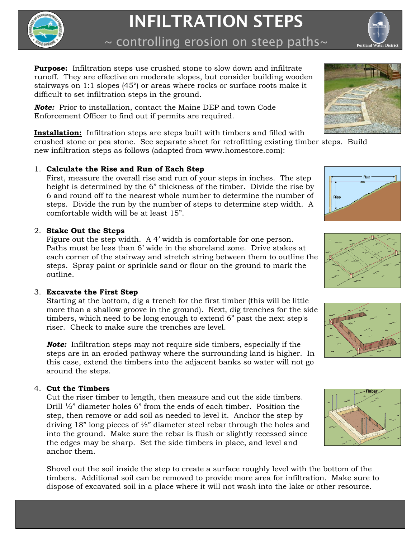

# INFILTRATION STEPS

 $\sim$  controlling erosion on steep paths $\sim$ 

**Purpose:** Infiltration steps use crushed stone to slow down and infiltrate runoff. They are effective on moderate slopes, but consider building wooden stairways on 1:1 slopes (45°) or areas where rocks or surface roots make it difficult to set infiltration steps in the ground.

*Note:* Prior to installation, contact the Maine DEP and town Code Enforcement Officer to find out if permits are required.

**Installation:** Infiltration steps are steps built with timbers and filled with

crushed stone or pea stone. See separate sheet for retrofitting existing timber steps. Build new infiltration steps as follows (adapted from www.homestore.com):

## 1. **Calculate the Rise and Run of Each Step**

First, measure the overall rise and run of your steps in inches. The step height is determined by the 6" thickness of the timber. Divide the rise by 6 and round off to the nearest whole number to determine the number of steps. Divide the run by the number of steps to determine step width. A comfortable width will be at least 15".

## 2. **Stake Out the Steps**

Figure out the step width. A 4' width is comfortable for one person. Paths must be less than 6' wide in the shoreland zone. Drive stakes at each corner of the stairway and stretch string between them to outline the steps. Spray paint or sprinkle sand or flour on the ground to mark the outline.

# 3. **Excavate the First Step**

Starting at the bottom, dig a trench for the first timber (this will be little more than a shallow groove in the ground). Next, dig trenches for the side timbers, which need to be long enough to extend 6" past the next step's riser. Check to make sure the trenches are level.

*Note:* Infiltration steps may not require side timbers, especially if the steps are in an eroded pathway where the surrounding land is higher. In this case, extend the timbers into the adjacent banks so water will not go around the steps.

## 4. **Cut the Timbers**

Cut the riser timber to length, then measure and cut the side timbers. Drill  $\frac{1}{2}$ " diameter holes 6" from the ends of each timber. Position the step, then remove or add soil as needed to level it. Anchor the step by driving 18" long pieces of  $\frac{1}{2}$ " diameter steel rebar through the holes and into the ground. Make sure the rebar is flush or slightly recessed since the edges may be sharp. Set the side timbers in place, and level and anchor them.

Shovel out the soil inside the step to create a surface roughly level with the bottom of the timbers. Additional soil can be removed to provide more area for infiltration. Make sure to dispose of excavated soil in a place where it will not wash into the lake or other resource.





Run